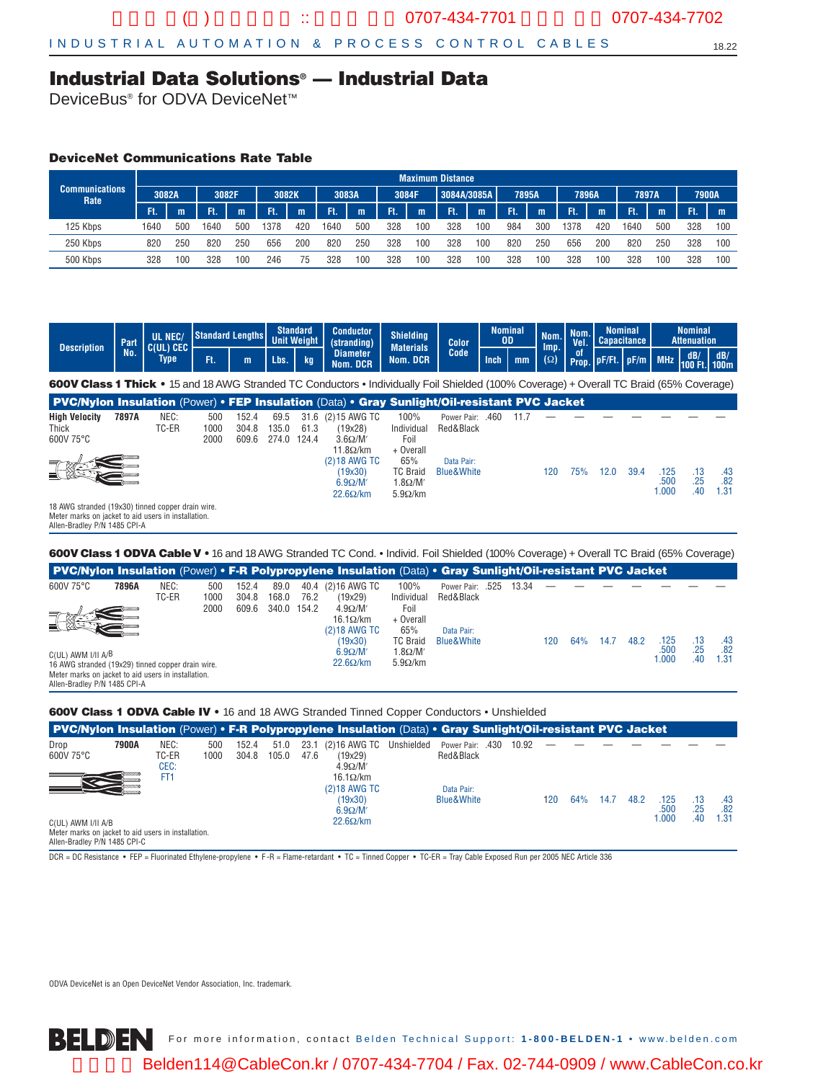### **Industrial Data Solutions® — Industrial Data**

DeviceBus<sup>®</sup> for ODVA DeviceNet<sup>™</sup>

### **DeviceNet Communications Rate Table**

| Communications<br>Rate |       |              |       |     |       |     |       |     |       |              | <b>Maximum Distance</b> |     |       |     |       |     |       |     |              |     |
|------------------------|-------|--------------|-------|-----|-------|-----|-------|-----|-------|--------------|-------------------------|-----|-------|-----|-------|-----|-------|-----|--------------|-----|
|                        | 3082A |              | 3082F |     | 3082K |     | 3083A |     | 3084F |              | 3084A/3085A             |     | 7895A |     | 7896A |     | 7897A |     | <b>7900A</b> |     |
|                        | Ft.   | $\mathsf{m}$ | Ŧ.    | m   | Ŧ.    | m   | Ft.   | m   | Ŧ.    | $\mathsf{m}$ | Ft.                     | m   | T.    | m   | Ft.   | m   | ٦R.   | m   | Æ.           | m   |
| 125 Kbps               | 1640  | 500          | 1640  | 500 | 1378  | 420 | 1640  | 500 | 328   | 100          | 328                     | 100 | 984   | 300 | 1378  | 420 | 1640  | 500 | 328          | 100 |
| 250 Kbps               | 820   | 250          | 820   | 250 | 656   | 200 | 820   | 250 | 328   | 100          | 328                     | 100 | 820   | 250 | 656   | 200 | 820   | 250 | 328          | 100 |
| 500 Kbps               | 328   | 100          | 328   | 100 | 246   | 75  | 328   | 100 | 328   | 100          | 328                     | 100 | 328   | 100 | 328   | 100 | 328   | 100 | 328          | 100 |

| <b>Description</b>                                                                                                                              | Part  | UL NEC/<br>C(UL) CEC |                     | <b>Standard Lengths</b> |                        | <b>Standard</b><br><b>Unit Weight</b> | <b>Conductor</b><br>(stranding)                                    | <b>Shielding</b><br><b>Materials</b>                       | <b>Color</b>                        | <b>Nominal</b><br><b>OD</b> |      | Nom.<br>Imp. | Nom.<br>Vel. | <b>Nominal</b><br><b>Capacitance</b> |      | <b>Nominal</b><br><b>Attenuation</b> |                   |                    |
|-------------------------------------------------------------------------------------------------------------------------------------------------|-------|----------------------|---------------------|-------------------------|------------------------|---------------------------------------|--------------------------------------------------------------------|------------------------------------------------------------|-------------------------------------|-----------------------------|------|--------------|--------------|--------------------------------------|------|--------------------------------------|-------------------|--------------------|
|                                                                                                                                                 | No.   | Type                 | Ft.                 | m                       | Lbs.                   | kg                                    | <b>Diameter</b><br>Nom. DCR                                        | Nom. DCR                                                   | Code                                | <b>Inch</b>                 | mm   | $(\Omega)$   | οf           | Prop. pF/Ft. pF/m MHz                |      |                                      | dB/<br>100 Ft.    | dB/<br><b>100m</b> |
| <b>600V Class 1 Thick •</b> 15 and 18 AWG Stranded TC Conductors • Individually Foil Shielded (100% Coverage) + Overall TC Braid (65% Coverage) |       |                      |                     |                         |                        |                                       |                                                                    |                                                            |                                     |                             |      |              |              |                                      |      |                                      |                   |                    |
| <b>PVC/Nylon Insulation (Power) • FEP Insulation (Data) • Gray Sunlight/Oil-resistant PVC Jacket</b>                                            |       |                      |                     |                         |                        |                                       |                                                                    |                                                            |                                     |                             |      |              |              |                                      |      |                                      |                   |                    |
| <b>High Velocity</b><br>Thick<br>600V 75°C                                                                                                      | 7897A | NEC:<br>TC-ER        | 500<br>1000<br>2000 | 152.4<br>304.8<br>609.6 | 69.5<br>135.0<br>274.0 | 61.3<br>124.4                         | 31.6 (2) 15 AWG TC<br>(19x28)<br>$3.6\Omega/M'$<br>$11.8\Omega/km$ | 100%<br>Individual<br>Foil<br>+ Overall                    | Power Pair: .460<br>Red&Black       |                             | 11.7 |              |              |                                      |      |                                      |                   |                    |
|                                                                                                                                                 |       |                      |                     |                         |                        |                                       | (2) 18 AWG TC<br>(19x30)<br>$6.9 \Omega/M'$<br>$22.6\Omega/km$     | 65%<br><b>TC Braid</b><br>$1.8\Omega/M'$<br>$5.9\Omega/km$ | Data Pair:<br><b>Blue&amp;White</b> |                             |      | 120          | 75%          | 12.0                                 | 39.4 | .125<br>.500<br>1.000                | .13<br>.25<br>.40 | .43<br>.82<br>1.31 |
| 18 AWG stranded (19x30) tinned copper drain wire.<br>Meter marks on jacket to aid users in installation.<br>Allen-Bradley P/N 1485 CPI-A        |       |                      |                     |                         |                        |                                       |                                                                    |                                                            |                                     |                             |      |              |              |                                      |      |                                      |                   |                    |

**600V Class 1 ODVA CableV •** 16 and 18 AWG Stranded TC Cond. • Individ. Foil Shielded (100% Coverage) + Overall TC Braid (65% Coverage)

| <b>PVC/Nylon Insulation (Power) • F-R Polypropylene Insulation (Data) • Gray Sunlight/Oil-resistant PVC Jacket</b> |       |               |             |                |               |      |                                          |                                          |                                      |       |     |     |      |      |               |            |             |
|--------------------------------------------------------------------------------------------------------------------|-------|---------------|-------------|----------------|---------------|------|------------------------------------------|------------------------------------------|--------------------------------------|-------|-----|-----|------|------|---------------|------------|-------------|
| 600V 75°C                                                                                                          | 7896A | NEC:<br>TC-ER | 500<br>1000 | 152.4<br>304.8 | 89.0<br>168.0 | 76.2 | 40.4 (2) 16 AWG TC<br>(19x29)            | 100%<br>Individual                       | <b>Power Pair: .525</b><br>Red&Black | 13.34 |     |     |      |      |               |            |             |
|                                                                                                                    |       |               | 2000        | 609.6          | 340.0 154.2   |      | $4.9\Omega/M'$<br>$16.1\Omega/km$        | Foil<br>+ Overall                        |                                      |       |     |     |      |      |               |            |             |
|                                                                                                                    |       |               |             |                |               |      | $(2)18$ AWG TC<br>(19x30)                | 65%<br><b>TC Braid</b>                   | Data Pair:<br><b>Blue&amp;White</b>  |       | 120 | 64% | 14.7 | 48.2 | .125          | .13        | .43         |
| $C(UL)$ AWM I/II A/B<br>16 AWG stranded (19x29) tinned copper drain wire.                                          |       |               |             |                |               |      | $6.9\Omega/M'$<br>$22.6\Omega/\text{km}$ | $1.8 \Omega/M'$<br>$5.9\Omega/\text{km}$ |                                      |       |     |     |      |      | .500<br>0.000 | .25<br>.40 | .82<br>1.31 |
| Meter marks on jacket to aid users in installation.<br>Allen-Bradley P/N 1485 CPI-A                                |       |               |             |                |               |      |                                          |                                          |                                      |       |     |     |      |      |               |            |             |

#### **600V Class 1 ODVA Cable IV •** 16 and 18 AWG Stranded Tinned Copper Conductors • Unshielded

| <b>PVC/Nylon Insulation (Power) • F-R Polypropylene Insulation (Data) • Gray Sunlight/Oil-resistant PVC Jacket</b> |       |                 |      |       |       |      |                         |                       |       |     |     |      |      |       |     |      |
|--------------------------------------------------------------------------------------------------------------------|-------|-----------------|------|-------|-------|------|-------------------------|-----------------------|-------|-----|-----|------|------|-------|-----|------|
| Drop                                                                                                               | 7900A | NEC:            | 500  | 152.4 | 51.0  | 23.1 | (2)16 AWG TC Unshielded | Power Pair: .430      | 10.92 |     |     |      |      |       |     |      |
| 600V 75°C                                                                                                          |       | TC-ER           | 1000 | 304.8 | 105.0 | 47.6 | (19x29)                 | Red&Black             |       |     |     |      |      |       |     |      |
|                                                                                                                    |       | CEC:            |      |       |       |      | $4.9 \Omega/M'$         |                       |       |     |     |      |      |       |     |      |
|                                                                                                                    |       | FT <sub>1</sub> |      |       |       |      | $16.1\Omega/km$         |                       |       |     |     |      |      |       |     |      |
|                                                                                                                    |       |                 |      |       |       |      | (2)18 AWG TC            | Data Pair:            |       |     |     |      |      |       |     |      |
|                                                                                                                    |       |                 |      |       |       |      | (19x30)                 | <b>Blue&amp;White</b> |       | 120 | 64% | 14.7 | 48.2 | .125  | .13 | .43  |
|                                                                                                                    |       |                 |      |       |       |      | $6.9 \Omega/M'$         |                       |       |     |     |      |      | .500  | .25 | .82  |
| $C(UL)$ AWM I/II A/B                                                                                               |       |                 |      |       |       |      | $22.6\Omega/km$         |                       |       |     |     |      |      | 0.000 | .40 | 1.31 |
| Meter marks on jacket to aid users in installation.                                                                |       |                 |      |       |       |      |                         |                       |       |     |     |      |      |       |     |      |

Allen-Bradley P/N 1485 CPI-C

DCR = DC Resistance • FEP = Fluorinated Ethylene-propylene • F -R = Flame-retardant • TC = Tinned Copper • TC-ER = Tray Cable Exposed Run per 2005 NEC Article 336

ODVA DeviceNet is an Open DeviceNet Vendor Association, Inc. trademark.

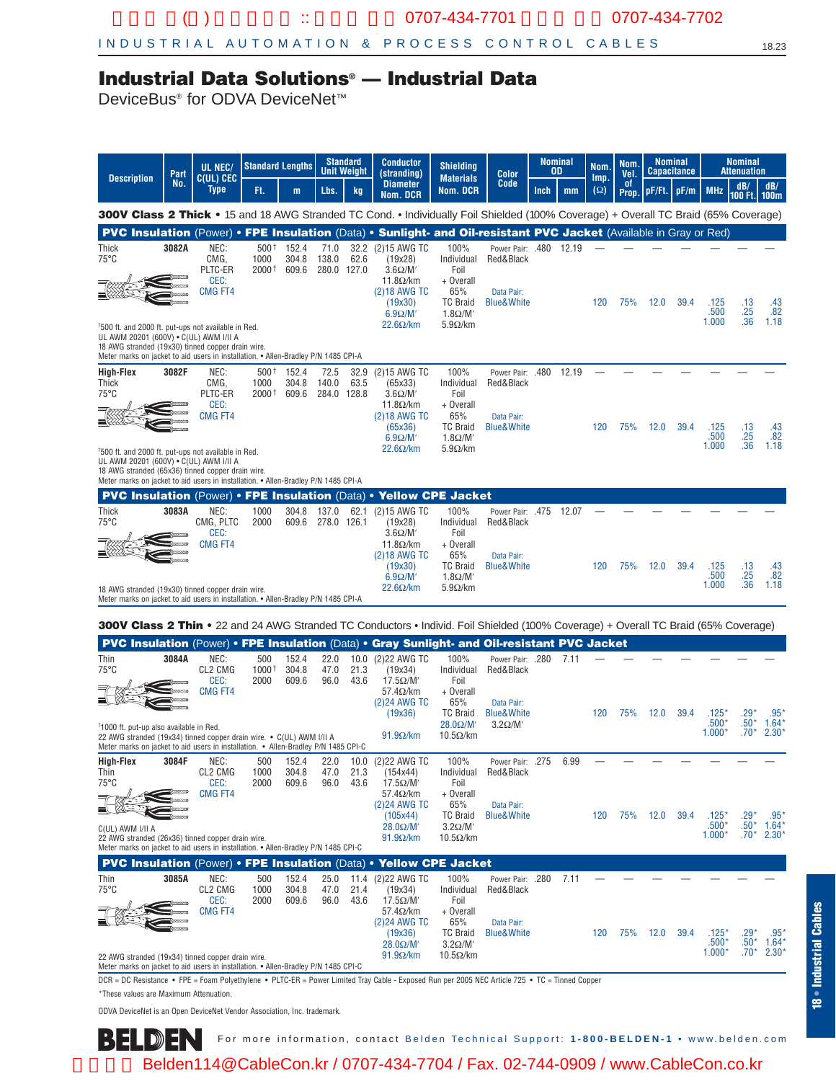## **Industrial Data Solutions® — Industrial Data**

DeviceBus<sup>®</sup> for ODVA DeviceNet<sup>™</sup>

| Part<br><b>Description</b>                                                                                                                                                                                                                 |       | UL NEC/<br>C(UL) CEC                              | <b>Standard Lengths</b>  |                         |                              | <b>Standard</b><br>Unit Weight | <b>Conductor</b><br>(stranding)                                                         | <b>Shielding</b><br><b>Materials</b>                              | Color                                                                      |      | <b>Nominal</b><br>OD | Nom.<br>Imp. | Nom.<br>Vel.        |        | <b>Nominal</b><br><b>Capacitance</b> |                           | <b>Nominal</b><br><b>Attenuation</b> |                           |
|--------------------------------------------------------------------------------------------------------------------------------------------------------------------------------------------------------------------------------------------|-------|---------------------------------------------------|--------------------------|-------------------------|------------------------------|--------------------------------|-----------------------------------------------------------------------------------------|-------------------------------------------------------------------|----------------------------------------------------------------------------|------|----------------------|--------------|---------------------|--------|--------------------------------------|---------------------------|--------------------------------------|---------------------------|
|                                                                                                                                                                                                                                            | No.   | <b>Type</b>                                       | Ft.                      | m                       | Lbs.                         | kg                             | <b>Diameter</b><br>Nom. DCR                                                             | Nom. DCR                                                          | Code                                                                       | Inch | mm                   | $(\Omega)$   | - of<br><b>Prop</b> | pF/Ft. | pF/m                                 | <b>MHz</b>                | dB/<br>100 Ft.                       | dB/<br><b>100m</b>        |
| 300V Class 2 Thick • 15 and 18 AWG Stranded TC Cond. • Individually Foil Shielded (100% Coverage) + Overall TC Braid (65% Coverage)                                                                                                        |       |                                                   |                          |                         |                              |                                |                                                                                         |                                                                   |                                                                            |      |                      |              |                     |        |                                      |                           |                                      |                           |
| PVC Insulation (Power) • FPE Insulation (Data) • Sunlight- and Oil-resistant PVC Jacket (Available in Gray or Red)                                                                                                                         |       |                                                   |                          |                         |                              |                                |                                                                                         |                                                                   |                                                                            |      |                      |              |                     |        |                                      |                           |                                      |                           |
| Thick<br>$75^{\circ}$ C                                                                                                                                                                                                                    | 3082A | NEC:<br>CMG.<br>PLTC-ER<br>CEC:<br><b>CMG FT4</b> | $500+$<br>1000<br>2000 † | 152.4<br>304.8<br>609.6 | 71.0<br>138.0<br>280.0 127.0 | 32.2<br>62.6                   | (2)15 AWG TC<br>(19x28)<br>$3.6\Omega/M'$<br>$11.8\Omega/km$<br>(2)18 AWG TC<br>(19x30) | 100%<br>Individual<br>Foil<br>+ Overall<br>65%<br><b>TC Braid</b> | Power Pair: .480 12.19<br>Red&Black<br>Data Pair:<br><b>Blue&amp;White</b> |      |                      | 120          | 75%                 | 12.0   | 39.4                                 | .125<br>.500              | .13                                  | .43<br>.82                |
| <sup>†</sup> 500 ft. and 2000 ft. put-ups not available in Red.                                                                                                                                                                            |       |                                                   |                          |                         |                              |                                | $6.9 \Omega/M'$<br>$22.6\Omega/km$                                                      | $1.8\Omega/M'$<br>$5.9\Omega/km$                                  |                                                                            |      |                      |              |                     |        |                                      | 1.000                     | .25<br>.36                           | 1.18                      |
| UL AWM 20201 (600V) . C(UL) AWM I/II A<br>18 AWG stranded (19x30) tinned copper drain wire.<br>Meter marks on jacket to aid users in installation. • Allen-Bradley P/N 1485 CPI-A                                                          |       |                                                   |                          |                         |                              |                                |                                                                                         |                                                                   |                                                                            |      |                      |              |                     |        |                                      |                           |                                      |                           |
| <b>High-Flex</b>                                                                                                                                                                                                                           | 3082F | NEC:                                              | $500+$                   | 152.4                   | 72.5                         | 32.9                           | (2)15 AWG TC                                                                            | 100%                                                              | Power Pair: .480                                                           |      | 12.19                |              |                     |        |                                      |                           |                                      |                           |
| Thick<br>$75^{\circ}$ C                                                                                                                                                                                                                    |       | CMG.<br>PLTC-ER                                   | 1000<br>2000 †           | 304.8<br>609.6          | 140.0<br>284.0 128.8         | 63.5                           | (65x33)<br>$3.6\Omega/M'$                                                               | Individual<br>Foil                                                | Red&Black                                                                  |      |                      |              |                     |        |                                      |                           |                                      |                           |
|                                                                                                                                                                                                                                            |       | CEC:<br><b>CMG FT4</b>                            |                          |                         |                              |                                | $11.8\Omega/km$<br>(2)18 AWG TC<br>(65x36)<br>$6.9\Omega/M'$                            | + Overall<br>65%<br><b>TC Braid</b><br>$1.8\Omega/M'$             | Data Pair:<br><b>Blue&amp;White</b>                                        |      |                      | 120          | 75%                 | 12.0   | 39.4                                 | .125<br>.500              | $.13 \n25$                           | $.43$<br>$.82$            |
| <sup>†</sup> 500 ft. and 2000 ft. put-ups not available in Red.                                                                                                                                                                            |       |                                                   |                          |                         |                              |                                | $22.6\Omega/km$                                                                         | $5.9\Omega/km$                                                    |                                                                            |      |                      |              |                     |        |                                      | 1.000                     | .36                                  | 1.18                      |
| UL AWM 20201 (600V) . C(UL) AWM I/II A<br>18 AWG stranded (65x36) tinned copper drain wire.                                                                                                                                                |       |                                                   |                          |                         |                              |                                |                                                                                         |                                                                   |                                                                            |      |                      |              |                     |        |                                      |                           |                                      |                           |
| Meter marks on jacket to aid users in installation. • Allen-Bradley P/N 1485 CPI-A<br><b>PVC Insulation (Power) • FPE Insulation (Data) • Yellow CPE Jacket</b>                                                                            |       |                                                   |                          |                         |                              |                                |                                                                                         |                                                                   |                                                                            |      |                      |              |                     |        |                                      |                           |                                      |                           |
| Thick                                                                                                                                                                                                                                      | 3083A | NEC:                                              | 1000                     | 304.8                   | 137.0                        | 62.1                           | (2)15 AWG TC                                                                            | 100%                                                              | Power Pair: .475                                                           |      | 12.07                |              |                     |        |                                      |                           |                                      |                           |
| $75^{\circ}$ C                                                                                                                                                                                                                             |       | CMG, PLTC<br>CEC:                                 | 2000                     | 609.6                   | 278.0 126.1                  |                                | (19x28)<br>$3.6\Omega/M'$                                                               | Individual<br>Foil                                                | Red&Black                                                                  |      |                      |              |                     |        |                                      |                           |                                      |                           |
|                                                                                                                                                                                                                                            |       | CMG FT4                                           |                          |                         |                              |                                | $11.8\Omega/km$<br>(2)18 AWG TC                                                         | + Overall<br>65%<br><b>TC Braid</b>                               | Data Pair:<br><b>Blue&amp;White</b>                                        |      |                      | 120          | 75%                 | 12.0   |                                      |                           |                                      |                           |
| 18 AWG stranded (19x30) tinned copper drain wire.<br>Meter marks on jacket to aid users in installation. • Allen-Bradley P/N 1485 CPI-A                                                                                                    |       |                                                   |                          |                         |                              |                                | (19x30)<br>$6.9\Omega/M'$<br>$22.6\Omega/km$                                            | $1.8\Omega/M'$<br>$5.9\Omega/km$                                  |                                                                            |      |                      |              |                     |        | 39.4                                 | .125<br>.500<br>1.000     | .13<br>.25<br>.36                    | $\frac{.43}{.82}$<br>1.18 |
|                                                                                                                                                                                                                                            |       |                                                   |                          |                         |                              |                                |                                                                                         |                                                                   |                                                                            |      |                      |              |                     |        |                                      |                           |                                      |                           |
| 300V Class 2 Thin • 22 and 24 AWG Stranded TC Conductors • Individ. Foil Shielded (100% Coverage) + Overall TC Braid (65% Coverage)<br><b>PVC Insulation (Power) • FPE Insulation (Data) • Gray Sunlight- and Oil-resistant PVC Jacket</b> |       |                                                   |                          |                         |                              |                                |                                                                                         |                                                                   |                                                                            |      |                      |              |                     |        |                                      |                           |                                      |                           |
| Thin                                                                                                                                                                                                                                       | 3084A | NEC:                                              | 500                      | 152.4                   | 22.0                         | 10.0                           | (2)22 AWG TC                                                                            | 100%                                                              | Power Pair: .280                                                           |      | 7.11                 |              |                     |        |                                      |                           |                                      |                           |
| $75^{\circ}$ C                                                                                                                                                                                                                             |       | CL2 CMG<br>CEC:<br>CMG FT4                        | $1000+$<br>2000          | 304.8<br>609.6          | 47.0<br>96.0                 | 21.3<br>43.6                   | (19x34)<br>$17.5\Omega/M'$<br>$57.4\Omega/km$                                           | Individual<br>Foil<br>+ Overall                                   | Red&Black                                                                  |      |                      |              |                     |        |                                      |                           |                                      |                           |
|                                                                                                                                                                                                                                            |       |                                                   |                          |                         |                              |                                | (2)24 AWG TC<br>(19x36)                                                                 | 65%<br><b>TC Braid</b>                                            | Data Pair:<br><b>Blue&amp;White</b>                                        |      |                      | 120          | 75%                 | 12.0   | 39.4                                 | $.125^{\circ}$<br>$.500*$ | $.29*$<br>$.50*$                     | .95<br>1.64               |
| <sup>†</sup> 1000 ft. put-up also available in Red.<br>22 AWG stranded (19x34) tinned copper drain wire. • C(UL) AWM I/II A<br>Meter marks on jacket to aid users in installation. • Allen-Bradley P/N 1485 CPI-C                          |       |                                                   |                          |                         |                              |                                | $91.9\Omega/km$                                                                         | $28.0\Omega/M'$<br>$10.5\Omega/km$                                | $3.2\Omega/M'$                                                             |      |                      |              |                     |        |                                      | $1.000*$                  | $.70*$                               | 2.30'                     |
| High-Flex<br>Thin                                                                                                                                                                                                                          | 3084F | NEC:<br>CL2 CMG                                   | 500<br>1000              | 152.4<br>304.8          | 22.0<br>47.0                 | 10.0<br>21.3                   | (2)22 AWG TC<br>(154x44)                                                                | 100%<br>Individual                                                | <b>Power Pair: .275</b><br>Red&Black                                       |      | 6.99                 |              |                     |        |                                      |                           |                                      |                           |
| $75^{\circ}$ C                                                                                                                                                                                                                             |       | CEC:<br>CMG FT4                                   | 2000                     | 609.6                   | 96.0                         | 43.6                           | $17.5\Omega/M'$<br>$57.4\Omega/km$                                                      | Foil<br>+ Overall                                                 |                                                                            |      |                      |              |                     |        |                                      |                           |                                      |                           |
|                                                                                                                                                                                                                                            |       |                                                   |                          |                         |                              |                                | (2) 24 AWG TC<br>(105x44)<br>$28.0\Omega/M'$                                            | 65%<br><b>TC Braid</b><br>$3.2\Omega/M'$                          | Data Pair:<br><b>Blue&amp;White</b>                                        |      |                      | 120          | 75%                 | 12.0   | 39.4                                 | $.125^{\circ}$<br>$.500*$ | $.29*$<br>$.50*$                     | $.95*$<br>1.64            |
| C(UL) AWM I/II A<br>22 AWG stranded (26x36) tinned copper drain wire.<br>Meter marks on jacket to aid users in installation. • Allen-Bradley P/N 1485 CPI-C                                                                                |       |                                                   |                          |                         |                              |                                | $91.9\Omega/km$                                                                         | $10.5\Omega/km$                                                   |                                                                            |      |                      |              |                     |        |                                      | $1.000*$                  |                                      | $.70^*$ 2.30*             |
| PVC Insulation (Power) • FPE Insulation (Data) • Yellow CPE Jacket                                                                                                                                                                         |       |                                                   |                          |                         |                              |                                |                                                                                         |                                                                   |                                                                            |      |                      |              |                     |        |                                      |                           |                                      |                           |
| Thin<br>$75^{\circ}$ C                                                                                                                                                                                                                     | 3085A | NEC:<br>CL2 CMG                                   | 500<br>1000              | 152.4<br>304.8          | 25.0<br>47.0                 | 21.4                           | 11.4 (2) 22 AWG TC<br>(19x34)                                                           | 100%<br>Individual                                                | Power Pair: .280<br>Red&Black                                              |      | 7.11                 |              |                     |        |                                      |                           |                                      |                           |
|                                                                                                                                                                                                                                            |       | CEC:<br><b>CMG FT4</b>                            | 2000                     | 609.6                   | 96.0                         | 43.6                           | $17.5\Omega/M'$<br>$57.4\Omega/km$                                                      | Foil<br>+ Overall                                                 |                                                                            |      |                      |              |                     |        |                                      |                           |                                      |                           |
|                                                                                                                                                                                                                                            |       |                                                   |                          |                         |                              |                                | (2)24 AWG TC<br>(19x36)<br>$28.0\Omega/M'$                                              | 65%<br><b>TC Braid</b><br>$3.2\Omega/M'$                          | Data Pair:<br><b>Blue&amp;White</b>                                        |      |                      | 120          | 75%                 | 12.0   | 39.4                                 | $.125^{\circ}$<br>.500*   | .29*<br>$.50*$                       | .95'<br>1.64'             |
| 22 AWG stranded (19x34) tinned copper drain wire.<br>Meter marks on jacket to aid users in installation. • Allen-Bradley P/N 1485 CPI-C                                                                                                    |       |                                                   |                          |                         |                              |                                | $91.9\Omega/km$                                                                         | $10.5\Omega/km$                                                   |                                                                            |      |                      |              |                     |        |                                      | $1.000*$                  | $.70*$                               | 2.30'                     |
| DCR = DC Resistance • FPE = Foam Polyethylene • PLTC-ER = Power Limited Tray Cable - Exposed Run per 2005 NEC Article 725 • TC = Tinned Copper                                                                                             |       |                                                   |                          |                         |                              |                                |                                                                                         |                                                                   |                                                                            |      |                      |              |                     |        |                                      |                           |                                      |                           |

\*These values are Maximum Attenuation.

ODVA DeviceNet is an Open DeviceNet Vendor Association, Inc. trademark.

For more information, contact Belden Technical Support: **1-800-BELDEN-1** • www.belden.com